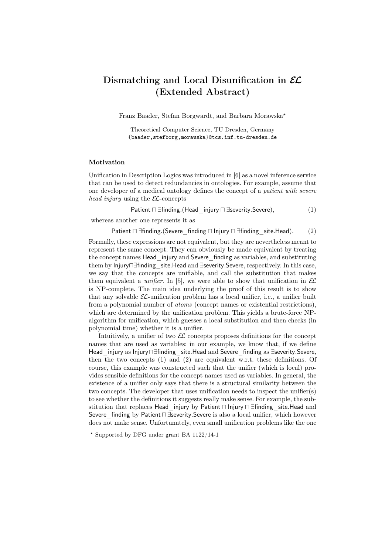# Dismatching and Local Disunification in  $\mathcal{EL}$ (Extended Abstract)

Franz Baader, Stefan Borgwardt, and Barbara Morawska?

Theoretical Computer Science, TU Dresden, Germany {baader,stefborg,morawska}@tcs.inf.tu-dresden.de

## Motivation

Unification in Description Logics was introduced in [6] as a novel inference service that can be used to detect redundancies in ontologies. For example, assume that one developer of a medical ontology defines the concept of a patient with severe head injury using the  $\mathcal{EL}\text{-concepts}$ 

Patient  $\Box$  ∃finding.(Head injury  $\Box$  ∃severity.Severe), (1)

whereas another one represents it as

Patient  $\Box$  ∃finding.(Severe finding  $\Box$  Injury  $\Box$  ∃finding site.Head). (2)

Formally, these expressions are not equivalent, but they are nevertheless meant to represent the same concept. They can obviously be made equivalent by treating the concept names Head injury and Severe finding as variables, and substituting them by Injury∏∃finding site.Head and ∃severity.Severe, respectively. In this case, we say that the concepts are unifiable, and call the substitution that makes them equivalent a *unifier*. In [5], we were able to show that unification in  $\mathcal{EL}$ is NP-complete. The main idea underlying the proof of this result is to show that any solvable  $\mathcal{EL}\text{-unification problem}$  has a local unifier, i.e., a unifier built from a polynomial number of atoms (concept names or existential restrictions), which are determined by the unification problem. This yields a brute-force NPalgorithm for unification, which guesses a local substitution and then checks (in polynomial time) whether it is a unifier.

Intuitively, a unifier of two  $\mathcal{EL}$  concepts proposes definitions for the concept names that are used as variables: in our example, we know that, if we define Head injury as Injury∏∃finding site.Head and Severe finding as ∃severity.Severe, then the two concepts  $(1)$  and  $(2)$  are equivalent w.r.t. these definitions. Of course, this example was constructed such that the unifier (which is local) provides sensible definitions for the concept names used as variables. In general, the existence of a unifier only says that there is a structural similarity between the two concepts. The developer that uses unification needs to inspect the unifier(s) to see whether the definitions it suggests really make sense. For example, the substitution that replaces Head injury by Patient ⊓ Injury ⊓ ∃finding site.Head and Severe finding by Patient □ ∃severity. Severe is also a local unifier, which however does not make sense. Unfortunately, even small unification problems like the one

 $*$  Supported by DFG under grant BA 1122/14-1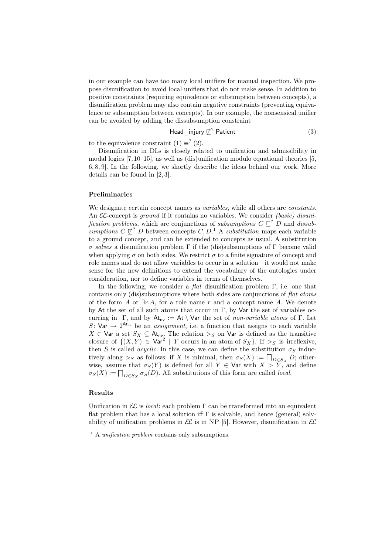in our example can have too many local unifiers for manual inspection. We propose disunification to avoid local unifiers that do not make sense. In addition to positive constraints (requiring equivalence or subsumption between concepts), a disunification problem may also contain negative constraints (preventing equivalence or subsumption between concepts). In our example, the nonsensical unifier can be avoided by adding the dissubsumption constraint

$$
\mathsf{Head\_injury} \not\sqsubseteq^? \mathsf{Patternt} \tag{3}
$$

to the equivalence constraint  $(1) \equiv (2)$ .

Disunification in DLs is closely related to unification and admissibility in modal logics [7,10–15], as well as (dis)unification modulo equational theories [5, 6, 8, 9]. In the following, we shortly describe the ideas behind our work. More details can be found in [2, 3].

### Preliminaries

We designate certain concept names as *variables*, while all others are *constants*. An  $\mathcal{EL}$ -concept is *ground* if it contains no variables. We consider *(basic)* disunification problems, which are conjunctions of subsumptions  $C \n\subset^? D$  and dissubsumptions  $C \not\sqsubseteq^? D$  between concepts  $C, D$ <sup>1</sup> A substitution maps each variable to a ground concept, and can be extended to concepts as usual. A substitution σ solves a disunification problem Γ if the (dis)subsumptions of Γ become valid when applying  $\sigma$  on both sides. We restrict  $\sigma$  to a finite signature of concept and role names and do not allow variables to occur in a solution—it would not make sense for the new definitions to extend the vocabulary of the ontologies under consideration, nor to define variables in terms of themselves.

In the following, we consider a *flat* disunification problem  $\Gamma$ , i.e. one that contains only (dis)subsumptions where both sides are conjunctions of flat atoms of the form A or  $\exists r.A$ , for a role name r and a concept name A. We denote by At the set of all such atoms that occur in  $\Gamma$ , by Var the set of variables occurring in Γ, and by  $At_{nv} := At \ \forall$ ar the set of non-variable atoms of Γ. Let S: Var  $\rightarrow$  2<sup>At</sup><sub>nv</sub> be an *assignment*, i.e. a function that assigns to each variable  $X \in \mathsf{Var}$  a set  $S_X \subseteq \mathsf{At}_{\mathsf{nv}}$ . The relation  $\gt_S$  on  $\mathsf{Var}$  is defined as the transitive closure of  $\{(X,Y) \in \text{Var}^2 \mid Y \text{ occurs in an atom of } S_X\}$ . If  $>_S$  is irreflexive, then S is called *acyclic*. In this case, we can define the substitution  $\sigma_S$  inductively along  $>_S$  as follows: if X is minimal, then  $\sigma_S(X) := \bigcap_{D \in S_X} D$ ; otherwise, assume that  $\sigma_S(Y)$  is defined for all  $Y \in \mathsf{Var}$  with  $X > Y$ , and define  $\sigma_S(X) := \prod_{D \in S_X} \sigma_S(D)$ . All substitutions of this form are called *local*.

#### Results

Unification in  $\mathcal{EL}$  is *local*: each problem  $\Gamma$  can be transformed into an equivalent flat problem that has a local solution iff  $\Gamma$  is solvable, and hence (general) solvability of unification problems in  $\mathcal{EL}$  is in NP [5]. However, disunification in  $\mathcal{EL}$ 

 $1$  A *unification problem* contains only subsumptions.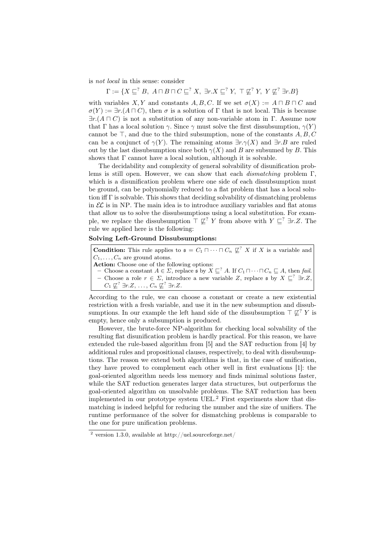is not local in this sense: consider

$$
\Gamma:=\{X\sqsubseteq^? B,\ A\sqcap B\sqcap C\sqsubseteq^? X,\ \exists r.X\sqsubseteq^? Y,\ \top\not\sqsubseteq^? Y,\ Y\not\sqsubseteq^? \exists r.B\}
$$

with variables X, Y and constants A, B, C. If we set  $\sigma(X) := A \sqcap B \sqcap C$  and  $\sigma(Y) := \exists r. (A \sqcap C)$ , then  $\sigma$  is a solution of  $\Gamma$  that is not local. This is because  $\exists r.(A \sqcap C)$  is not a substitution of any non-variable atom in Γ. Assume now that Γ has a local solution  $\gamma$ . Since  $\gamma$  must solve the first dissubsumption,  $\gamma(Y)$ cannot be  $\top$ , and due to the third subsumption, none of the constants A, B, C can be a conjunct of  $\gamma(Y)$ . The remaining atoms  $\exists r.\gamma(X)$  and  $\exists r.B$  are ruled out by the last dissubsumption since both  $\gamma(X)$  and B are subsumed by B. This shows that  $\Gamma$  cannot have a local solution, although it is solvable.

The decidability and complexity of general solvability of disunification problems is still open. However, we can show that each *dismatching* problem  $\Gamma$ , which is a disunification problem where one side of each dissubsumption must be ground, can be polynomially reduced to a flat problem that has a local solution iff Γ is solvable. This shows that deciding solvability of dismatching problems in  $\mathcal{EL}$  is in NP. The main idea is to introduce auxiliary variables and flat atoms that allow us to solve the dissubsumptions using a local substitution. For example, we replace the dissubsumption  $\top \not\sqsubset^? Y$  from above with  $Y \sqsubset^? \exists r.Z$ . The rule we applied here is the following:

## Solving Left-Ground Dissubsumptions:

**Condition:** This rule applies to  $\mathfrak{s} = C_1 \sqcap \cdots \sqcap C_n \not\sqsubseteq^? X$  if X is a variable and  $C_1, \ldots, C_n$  are ground atoms. Action: Choose one of the following options:

- Choose a constant  $A \in \Sigma$ , replace  $\mathfrak{s}$  by  $X \sqsubseteq^? A$ . If  $C_1 \sqcap \cdots \sqcap C_n \sqsubseteq A$ , then fail.
- Choose a role  $r \in \Sigma$ , introduce a new variable Z, replace s by  $X \subseteq$ <sup>2</sup> ∃r.Z,  $C_1 \not\sqsubseteq^? \exists r.Z, \ldots, C_n \not\sqsubseteq^? \exists r.Z.$

According to the rule, we can choose a constant or create a new existential restriction with a fresh variable, and use it in the new subsumption and dissubsumptions. In our example the left hand side of the dissubsumption  $\top \not\sqsubseteq^? Y$  is empty, hence only a subsumption is produced.

However, the brute-force NP-algorithm for checking local solvability of the resulting flat disunification problem is hardly practical. For this reason, we have extended the rule-based algorithm from [5] and the SAT reduction from [4] by additional rules and propositional clauses, respectively, to deal with dissubsumptions. The reason we extend both algorithms is that, in the case of unification, they have proved to complement each other well in first evaluations [1]: the goal-oriented algorithm needs less memory and finds minimal solutions faster, while the SAT reduction generates larger data structures, but outperforms the goal-oriented algorithm on unsolvable problems. The SAT reduction has been implemented in our prototype system UEL.<sup>2</sup> First experiments show that dismatching is indeed helpful for reducing the number and the size of unifiers. The runtime performance of the solver for dismatching problems is comparable to the one for pure unification problems.

<sup>&</sup>lt;sup>2</sup> version 1.3.0, available at http://uel.sourceforge.net/